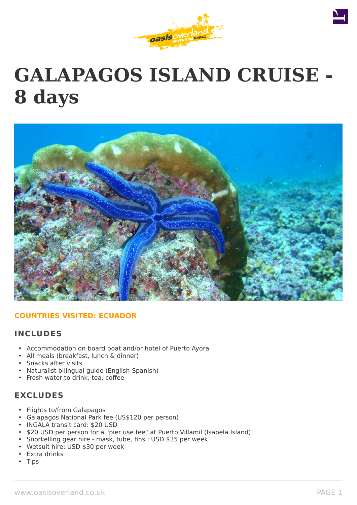



# **GALAPAGOS ISLAND CRUISE - 8 days**



## **COUNTRIES VISITED: ECUADOR**

## **INCLUDES**

- Accommodation on board boat and/or hotel of Puerto Ayora
- All meals (breakfast, lunch & dinner)
- Snacks after visits
- Naturalist bilingual guide (English-Spanish)
- Fresh water to drink, tea, coffee

# **EXCLUDES**

- Flights to/from Galapagos
- Galapagos National Park fee (US\$120 per person)
- INGALA transit card: \$20 USD
- \$20 USD per person for a "pier use fee" at Puerto Villamil (Isabela Island)
- Snorkelling gear hire mask, tube, fins : USD \$35 per week
- Wetsuit hire: USD \$30 per week
- Extra drinks
- **Tips**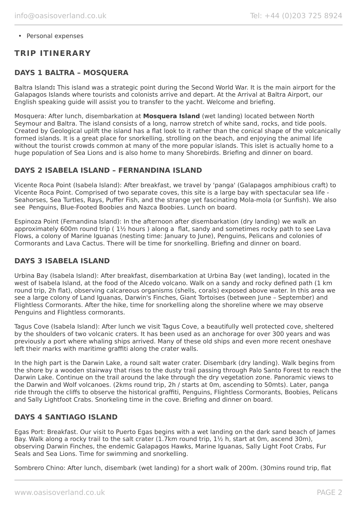• Personal expenses

# **TRIP ITINERARY**

## **DAYS 1 BALTRA – MOSQUERA**

Baltra Island**:** This island was a strategic point during the Second World War. It is the main airport for the Galapagos Islands where tourists and colonists arrive and depart. At the Arrival at Baltra Airport, our English speaking guide will assist you to transfer to the yacht. Welcome and briefing.

Mosquera: After lunch, disembarkation at **Mosquera Island** (wet landing) located between North Seymour and Baltra. The island consists of a long, narrow stretch of white sand, rocks, and tide pools. Created by Geological uplift the island has a flat look to it rather than the conical shape of the volcanically formed islands. It is a great place for snorkelling, strolling on the beach, and enjoying the animal life without the tourist crowds common at many of the more popular islands. This islet is actually home to a huge population of Sea Lions and is also home to many Shorebirds. Briefing and dinner on board.

## **DAYS 2 ISABELA ISLAND – FERNANDINA ISLAND**

Vicente Roca Point (Isabela Island): After breakfast, we travel by 'panga' (Galapagos amphibious craft) to Vicente Roca Point. Comprised of two separate coves, this site is a large bay with spectacular sea life - Seahorses, Sea Turtles, Rays, Puffer Fish, and the strange yet fascinating Mola-mola (or Sunfish). We also see Penguins, Blue-Footed Boobies and Nazca Boobies. Lunch on board.

Espinoza Point (Fernandina Island): In the afternoon after disembarkation (dry landing) we walk an approximately 600m round trip ( 1½ hours ) along a flat, sandy and sometimes rocky path to see Lava Flows, a colony of Marine Iguanas (nesting time: January to June), Penguins, Pelicans and colonies of Cormorants and Lava Cactus. There will be time for snorkelling. Briefing and dinner on board.

## **DAYS 3 ISABELA ISLAND**

Urbina Bay (Isabela Island): After breakfast, disembarkation at Urbina Bay (wet landing), located in the west of Isabela Island, at the food of the Alcedo volcano. Walk on a sandy and rocky defined path (1 km round trip, 2h flat), observing calcareous organisms (shells, corals) exposed above water. In this area we see a large colony of Land Iguanas, Darwin's Finches, Giant Tortoises (between June – September) and Flightless Cormorants. After the hike, time for snorkelling along the shoreline where we may observe Penguins and Flightless cormorants.

Tagus Cove (Isabela Island): After lunch we visit Tagus Cove, a beautifully well protected cove, sheltered by the shoulders of two volcanic craters. It has been used as an anchorage for over 300 years and was previously a port where whaling ships arrived. Many of these old ships and even more recent oneshave left their marks with maritime graffiti along the crater walls.

In the high part is the Darwin Lake, a round salt water crater. Disembark (dry landing). Walk begins from the shore by a wooden stairway that rises to the dusty trail passing through Palo Santo Forest to reach the Darwin Lake. Continue on the trail around the lake through the dry vegetation zone. Panoramic views to the Darwin and Wolf volcanoes. (2kms round trip, 2h / starts at 0m, ascending to 50mts). Later, panga ride through the cliffs to observe the historical graffiti, Penguins, Flightless Cormorants, Boobies, Pelicans and Sally Lightfoot Crabs. Snorkeling time in the cove. Briefing and dinner on board.

## **DAYS 4 SANTIAGO ISLAND**

Egas Port: Breakfast. Our visit to Puerto Egas begins with a wet landing on the dark sand beach of James Bay. Walk along a rocky trail to the salt crater (1.7km round trip, 1½ h, start at 0m, ascend 30m), observing Darwin Finches, the endemic Galapagos Hawks, Marine Iguanas, Sally Light Foot Crabs, Fur Seals and Sea Lions. Time for swimming and snorkelling.

Sombrero Chino: After lunch, disembark (wet landing) for a short walk of 200m. (30mins round trip, flat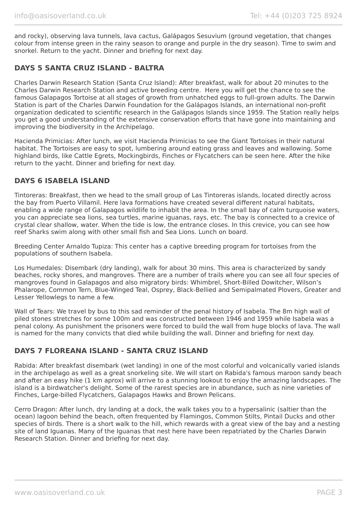and rocky), observing lava tunnels, lava cactus, Galápagos Sesuvium (ground vegetation, that changes colour from intense green in the rainy season to orange and purple in the dry season). Time to swim and snorkel. Return to the yacht. Dinner and briefing for next day.

## **DAYS 5 SANTA CRUZ ISLAND - BALTRA**

Charles Darwin Research Station (Santa Cruz Island): After breakfast, walk for about 20 minutes to the Charles Darwin Research Station and active breeding centre. Here you will get the chance to see the famous Galapagos Tortoise at all stages of growth from unhatched eggs to full-grown adults. The Darwin Station is part of the Charles Darwin Foundation for the Galápagos Islands, an international non-profit organization dedicated to scientific research in the Galápagos Islands since 1959. The Station really helps you get a good understanding of the extensive conservation efforts that have gone into maintaining and improving the biodiversity in the Archipelago.

Hacienda Primicias: After lunch, we visit Hacienda Primicias to see the Giant Tortoises in their natural habitat. The Tortoises are easy to spot, lumbering around eating grass and leaves and wallowing. Some highland birds, like Cattle Egrets, Mockingbirds, Finches or Flycatchers can be seen here. After the hike return to the yacht. Dinner and briefing for next day.

## **DAYS 6 ISABELA ISLAND**

Tintoreras: Breakfast, then we head to the small group of Las Tintoreras islands, located directly across the bay from Puerto Villamil. Here lava formations have created several different natural habitats, enabling a wide range of Galapagos wildlife to inhabit the area. In the small bay of calm turquoise waters, you can appreciate sea lions, sea turtles, marine iguanas, rays, etc. The bay is connected to a crevice of crystal clear shallow, water. When the tide is low, the entrance closes. In this crevice, you can see how reef Sharks swim along with other small fish and Sea Lions. Lunch on board.

Breeding Center Arnaldo Tupiza: This center has a captive breeding program for tortoises from the populations of southern Isabela.

Los Humedales: Disembark (dry landing), walk for about 30 mins. This area is characterized by sandy beaches, rocky shores, and mangroves. There are a number of trails where you can see all four species of mangroves found in Galapagos and also migratory birds: Whimbrel, Short-Billed Dowitcher, Wilson's Phalarope, Common Tern, Blue-Winged Teal, Osprey, Black-Bellied and Semipalmated Plovers, Greater and Lesser Yellowlegs to name a few.

Wall of Tears: We travel by bus to this sad reminder of the penal history of Isabela. The 8m high wall of piled stones stretches for some 100m and was constructed between 1946 and 1959 while Isabela was a penal colony. As punishment the prisoners were forced to build the wall from huge blocks of lava. The wall is named for the many convicts that died while building the wall. Dinner and briefing for next day.

## **DAYS 7 FLOREANA ISLAND - SANTA CRUZ ISLAND**

Rabida: After breakfast disembark (wet landing) in one of the most colorful and volcanically varied islands in the archipelago as well as a great snorkeling site. We will start on Rabida's famous maroon sandy beach and after an easy hike (1 km aprox) will arrive to a stunning lookout to enjoy the amazing landscapes. The island is a birdwatcher's delight. Some of the rarest species are in abundance, such as nine varieties of Finches, Large-billed Flycatchers, Galapagos Hawks and Brown Pelicans.

Cerro Dragon: After lunch, dry landing at a dock, the walk takes you to a hypersalinic (saltier than the ocean) lagoon behind the beach, often frequented by Flamingos, Common Stilts, Pintail Ducks and other species of birds. There is a short walk to the hill, which rewards with a great view of the bay and a nesting site of land Iguanas. Many of the Iguanas that nest here have been repatriated by the Charles Darwin Research Station. Dinner and briefing for next day.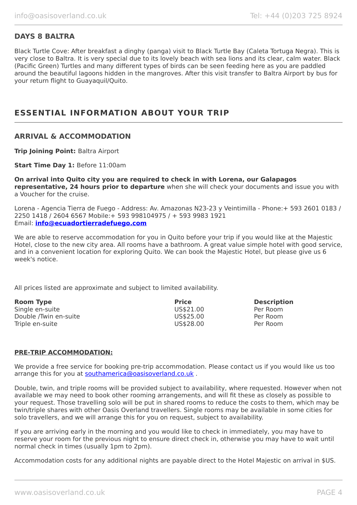## **DAYS 8 BALTRA**

Black Turtle Cove: After breakfast a dinghy (panga) visit to Black Turtle Bay (Caleta Tortuga Negra). This is very close to Baltra. It is very special due to its lovely beach with sea lions and its clear, calm water. Black (Pacific Green) Turtles and many different types of birds can be seen feeding here as you are paddled around the beautiful lagoons hidden in the mangroves. After this visit transfer to Baltra Airport by bus for your return flight to Guayaquil/Quito.

# **ESSENTIAL INFORMATION ABOUT YOUR TRIP**

#### **ARRIVAL & ACCOMMODATION**

**Trip Joining Point:** Baltra Airport

**Start Time Day 1: Before 11:00am** 

**On arrival into Quito city you are required to check in with Lorena, our Galapagos representative, 24 hours prior to departure** when she will check your documents and issue you with a Voucher for the cruise.

Lorena - Agencia Tierra de Fuego - Address: Av. Amazonas N23-23 y Veintimilla - Phone:+ 593 2601 0183 / 2250 1418 / 2604 6567 Mobile:+ 593 998104975 / + 593 9983 1921 Email: **[info@ecuadortierradefuego.com](mailto:info@ecuadortierradefuego.com)**

We are able to reserve accommodation for you in Quito before your trip if you would like at the Majestic Hotel, close to the new city area. All rooms have a bathroom. A great value simple hotel with good service, and in a convenient location for exploring Quito. We can book the Majestic Hotel, but please give us 6 week's notice.

All prices listed are approximate and subject to limited availability.

| <b>Room Type</b>      | <b>Price</b> | <b>Description</b> |
|-----------------------|--------------|--------------------|
| Single en-suite       | US\$21.00    | Per Room           |
| Double /Twin en-suite | US\$25.00    | Per Room           |
| Triple en-suite       | US\$28.00    | Per Room           |

#### **PRE-TRIP ACCOMMODATION:**

We provide a free service for booking pre-trip accommodation. Please contact us if you would like us too arrange this for you at [southamerica@oasisoverland.co.uk](mailto:southamerica@oasisoverland.co.uk).

Double, twin, and triple rooms will be provided subject to availability, where requested. However when not available we may need to book other rooming arrangements, and will fit these as closely as possible to your request. Those travelling solo will be put in shared rooms to reduce the costs to them, which may be twin/triple shares with other Oasis Overland travellers. Single rooms may be available in some cities for solo travellers, and we will arrange this for you on request, subject to availability.

If you are arriving early in the morning and you would like to check in immediately, you may have to reserve your room for the previous night to ensure direct check in, otherwise you may have to wait until normal check in times (usually 1pm to 2pm).

Accommodation costs for any additional nights are payable direct to the Hotel Majestic on arrival in \$US.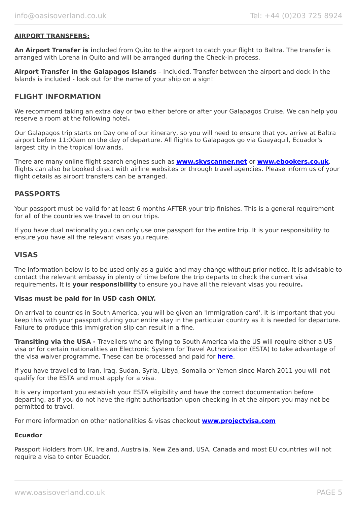#### **AIRPORT TRANSFERS:**

**An Airport Transfer is i**ncluded from Quito to the airport to catch your flight to Baltra. The transfer is arranged with Lorena in Quito and will be arranged during the Check-in process.

**Airport Transfer in the Galapagos Islands** – Included. Transfer between the airport and dock in the Islands is included - look out for the name of your ship on a sign!

### **FLIGHT INFORMATION**

We recommend taking an extra day or two either before or after your Galapagos Cruise. We can help you reserve a room at the following hotel**.**

Our Galapagos trip starts on Day one of our itinerary, so you will need to ensure that you arrive at Baltra airport before 11:00am on the day of departure. All flights to Galapagos go via Guayaquil, Ecuador's largest city in the tropical lowlands.

There are many online flight search engines such as **[www.skyscanner.net](http://www.dpbolvw.net/click-5720161-10639348)** or **[www.ebookers.co.uk](http://www.ebookers.co.uk/)**, flights can also be booked direct with airline websites or through travel agencies. Please inform us of your flight details as airport transfers can be arranged.

#### **PASSPORTS**

Your passport must be valid for at least 6 months AFTER your trip finishes. This is a general requirement for all of the countries we travel to on our trips.

If you have dual nationality you can only use one passport for the entire trip. It is your responsibility to ensure you have all the relevant visas you require.

#### **VISAS**

The information below is to be used only as a guide and may change without prior notice. It is advisable to contact the relevant embassy in plenty of time before the trip departs to check the current visa requirements**.** It is **your responsibility** to ensure you have all the relevant visas you require**.**

#### **Visas must be paid for in USD cash ONLY.**

On arrival to countries in South America, you will be given an 'Immigration card'. It is important that you keep this with your passport during your entire stay in the particular country as it is needed for departure. Failure to produce this immigration slip can result in a fine.

**Transiting via the USA -** Travellers who are flying to South America via the US will require either a US visa or for certain nationalities an Electronic System for Travel Authorization (ESTA) to take advantage of the visa waiver programme. These can be processed and paid for **[here](https://esta.cbp.dhs.gov/esta/)**.

If you have travelled to Iran, Iraq, Sudan, Syria, Libya, Somalia or Yemen since March 2011 you will not qualify for the ESTA and must apply for a visa.

It is very important you establish your ESTA eligibility and have the correct documentation before departing, as if you do not have the right authorisation upon checking in at the airport you may not be permitted to travel.

For more information on other nationalities & visas checkout **[www.projectvisa.com](http://www.projectvisa.com/)**

#### **Ecuador**

Passport Holders from UK, Ireland, Australia, New Zealand, USA, Canada and most EU countries will not require a visa to enter Ecuador.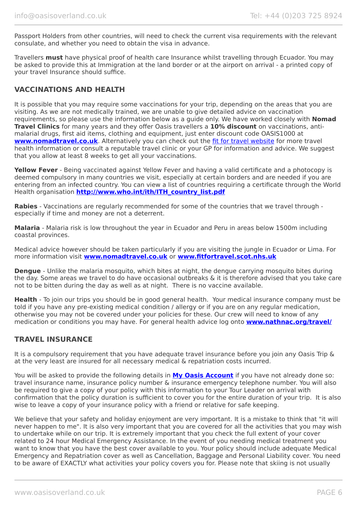Passport Holders from other countries, will need to check the current visa requirements with the relevant consulate, and whether you need to obtain the visa in advance.

Travellers **must** have physical proof of health care Insurance whilst travelling through Ecuador. You may be asked to provide this at Immigration at the land border or at the airport on arrival - a printed copy of your travel Insurance should suffice.

## **VACCINATIONS AND HEALTH**

It is possible that you may require some vaccinations for your trip, depending on the areas that you are visiting. As we are not medically trained, we are unable to give detailed advice on vaccination requirements, so please use the information below as a guide only. We have worked closely with **Nomad Travel Clinics** for many years and they offer Oasis travellers a **10% discount** on vaccinations, antimalarial drugs, first aid items, clothing and equipment, just enter discount code OASIS1000 at **[www.nomadtravel.co.uk](http://www.nomadtravel.co.uk/)**. Alternatively you can check out the [fit for travel website](http://www.fitfortravel.scot.nhs.uk/home.aspx) for more travel health information or consult a reputable travel clinic or your GP for information and advice. We suggest that you allow at least 8 weeks to get all your vaccinations.

**Yellow Fever** - Being vaccinated against Yellow Fever and having a valid certificate and a photocopy is deemed compulsory in many countries we visit, especially at certain borders and are needed if you are entering from an infected country. You can view a list of countries requiring a certificate through the World Health organisation **[http://www.who.int/ith/ITH\\_country\\_list.pdf](http://www.who.int/ith/ITH_country_list.pdf)** 

**Rabies** - Vaccinations are regularly recommended for some of the countries that we travel through especially if time and money are not a deterrent.

**Malaria** - Malaria risk is low throughout the year in Ecuador and Peru in areas below 1500m including coastal provinces.

Medical advice however should be taken particularly if you are visiting the jungle in Ecuador or Lima. For more information visit **[www.nomadtravel.co.uk](https://www.nomadtravel.co.uk/)** or **[www.fitfortravel.scot.nhs.uk](http://www.fitfortravel.scot.nhs.uk/)**

**Dengue** - Unlike the malaria mosquito, which bites at night, the dengue carrying mosquito bites during the day. Some areas we travel to do have occasional outbreaks & it is therefore advised that you take care not to be bitten during the day as well as at night. There is no vaccine available.

**Health** - To join our trips you should be in good general health. Your medical insurance company must be told if you have any pre-existing medical condition / allergy or if you are on any regular medication, otherwise you may not be covered under your policies for these. Our crew will need to know of any medication or conditions you may have. For general health advice log onto **[www.nathnac.org/travel/](http://www.nathnac.org/travel/index.htm)**

## **TRAVEL INSURANCE**

It is a compulsory requirement that you have adequate travel insurance before you join any Oasis Trip & at the very least are insured for all necessary medical & repatriation costs incurred.

You will be asked to provide the following details in **My [Oasis Account](https://oasisportal.eecsoftware.com/)** if you have not already done so: travel insurance name, insurance policy number & insurance emergency telephone number. You will also be required to give a copy of your policy with this information to your Tour Leader on arrival with confirmation that the policy duration is sufficient to cover you for the entire duration of your trip. It is also wise to leave a copy of your insurance policy with a friend or relative for safe keeping.

We believe that your safety and holiday enjoyment are very important. It is a mistake to think that "it will never happen to me". It is also very important that you are covered for all the activities that you may wish to undertake while on our trip. It is extremely important that you check the full extent of your cover related to 24 hour Medical Emergency Assistance. In the event of you needing medical treatment you want to know that you have the best cover available to you. Your policy should include adequate Medical Emergency and Repatriation cover as well as Cancellation, Baggage and Personal Liability cover. You need to be aware of EXACTLY what activities your policy covers you for. Please note that skiing is not usually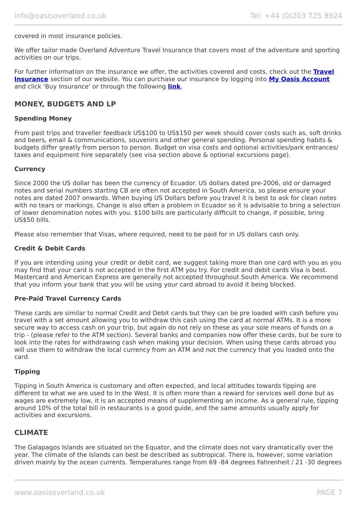#### covered in most insurance policies.

We offer tailor made Overland Adventure Travel Insurance that covers most of the adventure and sporting activities on our trips.

For further information on the insurance we offer, the activities covered and costs, check out the **[Travel](https://www.oasisoverland.co.uk/travel-insurance) [Insurance](https://www.oasisoverland.co.uk/travel-insurance)** section of our website. You can purchase our insurance by logging into **[My Oasis Account](https://oasisportal.eecsoftware.com/)** and click 'Buy Insurance' or through the following **[link](https://www.campbellirvinedirect.com/oasisoverland/)**.

### **MONEY, BUDGETS AND LP**

#### **Spending Money**

From past trips and traveller feedback US\$100 to US\$150 per week should cover costs such as, soft drinks and beers, email & communications, souvenirs and other general spending. Personal spending habits & budgets differ greatly from person to person. Budget on visa costs and optional activities/park entrances/ taxes and equipment hire separately (see visa section above & optional excursions page).

#### **Currency**

Since 2000 the US dollar has been the currency of Ecuador. US dollars dated pre-2006, old or damaged notes and serial numbers starting CB are often not accepted in South America, so please ensure your notes are dated 2007 onwards. When buying US Dollars before you travel it is best to ask for clean notes with no tears or markings. Change is also often a problem in Ecuador so it is advisable to bring a selection of lower denomination notes with you. \$100 bills are particularly difficult to change, if possible, bring US\$50 bills.

Please also remember that Visas, where required, need to be paid for in US dollars cash only.

#### **Credit & Debit Cards**

If you are intending using your credit or debit card, we suggest taking more than one card with you as you may find that your card is not accepted in the first ATM you try. For credit and debit cards Visa is best. Mastercard and American Express are generally not accepted throughout South America. We recommend that you inform your bank that you will be using your card abroad to avoid it being blocked.

#### **Pre-Paid Travel Currency Cards**

These cards are similar to normal Credit and Debit cards but they can be pre loaded with cash before you travel with a set amount allowing you to withdraw this cash using the card at normal ATMs. It is a more secure way to access cash on your trip, but again do not rely on these as your sole means of funds on a trip - (please refer to the ATM section). Several banks and companies now offer these cards, but be sure to look into the rates for withdrawing cash when making your decision. When using these cards abroad you will use them to withdraw the local currency from an ATM and not the currency that you loaded onto the card.

#### **Tipping**

Tipping in South America is customary and often expected, and local attitudes towards tipping are different to what we are used to in the West. It is often more than a reward for services well done but as wages are extremely low, it is an accepted means of supplementing an income. As a general rule, tipping around 10% of the total bill in restaurants is a good guide, and the same amounts usually apply for activities and excursions.

#### **CLIMATE**

The Galapagos Islands are situated on the Equator, and the climate does not vary dramatically over the year. The climate of the Islands can best be described as subtropical. There is, however, some variation driven mainly by the ocean currents. Temperatures range from 69 -84 degrees Fahrenheit / 21 -30 degrees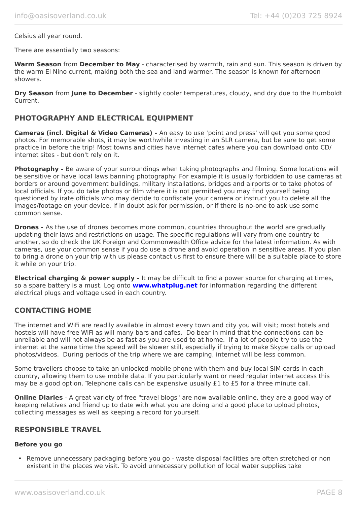#### Celsius all year round.

There are essentially two seasons:

**Warm Season** from **December to May** - characterised by warmth, rain and sun. This season is driven by the warm El Nino current, making both the sea and land warmer. The season is known for afternoon showers.

**Dry Season** from **June to December** - slightly cooler temperatures, cloudy, and dry due to the Humboldt Current.

#### **PHOTOGRAPHY AND ELECTRICAL EQUIPMENT**

**Cameras (incl. Digital & Video Cameras) -** An easy to use 'point and press' will get you some good photos. For memorable shots, it may be worthwhile investing in an SLR camera, but be sure to get some practice in before the trip! Most towns and cities have internet cafes where you can download onto CD/ internet sites - but don't rely on it.

**Photography -** Be aware of your surroundings when taking photographs and filming. Some locations will be sensitive or have local laws banning photography. For example it is usually forbidden to use cameras at borders or around government buildings, military installations, bridges and airports or to take photos of local officials. If you do take photos or film where it is not permitted you may find yourself being questioned by irate officials who may decide to confiscate your camera or instruct you to delete all the images/footage on your device. If in doubt ask for permission, or if there is no-one to ask use some common sense.

**Drones -** As the use of drones becomes more common, countries throughout the world are gradually updating their laws and restrictions on usage. The specific regulations will vary from one country to another, so do check the UK Foreign and Commonwealth Office advice for the latest information. As with cameras, use your common sense if you do use a drone and avoid operation in sensitive areas. If you plan to bring a drone on your trip with us please contact us first to ensure there will be a suitable place to store it while on your trip.

**Electrical charging & power supply -** It may be difficult to find a power source for charging at times, so a spare battery is a must. Log onto **[www.whatplug.net](http://www.whatplug.net/)** for information regarding the different electrical plugs and voltage used in each country.

## **CONTACTING HOME**

The internet and WiFi are readily available in almost every town and city you will visit; most hotels and hostels will have free WiFi as will many bars and cafes. Do bear in mind that the connections can be unreliable and will not always be as fast as you are used to at home. If a lot of people try to use the internet at the same time the speed will be slower still, especially if trying to make Skype calls or upload photos/videos. During periods of the trip where we are camping, internet will be less common.

Some travellers choose to take an unlocked mobile phone with them and buy local SIM cards in each country, allowing them to use mobile data. If you particularly want or need regular internet access this may be a good option. Telephone calls can be expensive usually £1 to £5 for a three minute call.

**Online Diaries** - A great variety of free "travel blogs" are now available online, they are a good way of keeping relatives and friend up to date with what you are doing and a good place to upload photos, collecting messages as well as keeping a record for yourself.

#### **RESPONSIBLE TRAVEL**

#### **Before you go**

• Remove unnecessary packaging before you go - waste disposal facilities are often stretched or non existent in the places we visit. To avoid unnecessary pollution of local water supplies take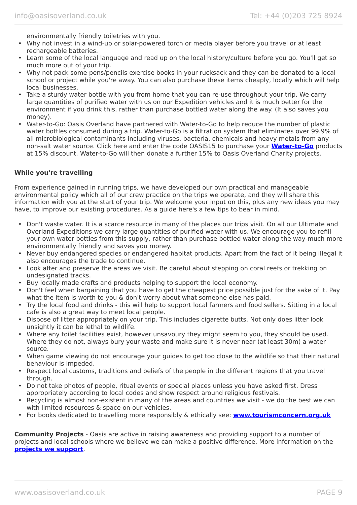environmentally friendly toiletries with you.

- Why not invest in a wind-up or solar-powered torch or media player before you travel or at least rechargeable batteries.
- Learn some of the local language and read up on the local history/culture before you go. You'll get so much more out of your trip.
- Why not pack some pens/pencils exercise books in your rucksack and they can be donated to a local school or project while you're away. You can also purchase these items cheaply, locally which will help local businesses.
- Take a sturdy water bottle with you from home that you can re-use throughout your trip. We carry large quantities of purified water with us on our Expedition vehicles and it is much better for the environment if you drink this, rather than purchase bottled water along the way. (It also saves you money).
- Water-to-Go: Oasis Overland have partnered with Water-to-Go to help reduce the number of plastic water bottles consumed during a trip. Water-to-Go is a filtration system that eliminates over 99.9% of all microbiological contaminants including viruses, bacteria, chemicals and heavy metals from any non-salt water source. Click here and enter the code OASIS15 to purchase your **[Water-to-Go](https://watertogo.eu/partnerships/oasisoverland/)** products at 15% discount. Water-to-Go will then donate a further 15% to Oasis Overland Charity projects.

#### **While you're travelling**

From experience gained in running trips, we have developed our own practical and manageable environmental policy which all of our crew practice on the trips we operate, and they will share this information with you at the start of your trip. We welcome your input on this, plus any new ideas you may have, to improve our existing procedures. As a guide here's a few tips to bear in mind.

- Don't waste water. It is a scarce resource in many of the places our trips visit. On all our Ultimate and Overland Expeditions we carry large quantities of purified water with us. We encourage you to refill your own water bottles from this supply, rather than purchase bottled water along the way-much more environmentally friendly and saves you money.
- Never buy endangered species or endangered habitat products. Apart from the fact of it being illegal it also encourages the trade to continue.
- Look after and preserve the areas we visit. Be careful about stepping on coral reefs or trekking on undesignated tracks.
- Buy locally made crafts and products helping to support the local economy.
- Don't feel when bargaining that you have to get the cheapest price possible just for the sake of it. Pay what the item is worth to you & don't worry about what someone else has paid.
- Try the local food and drinks this will help to support local farmers and food sellers. Sitting in a local cafe is also a great way to meet local people.
- Dispose of litter appropriately on your trip. This includes cigarette butts. Not only does litter look unsightly it can be lethal to wildlife.
- Where any toilet facilities exist, however unsavoury they might seem to you, they should be used. Where they do not, always bury your waste and make sure it is never near (at least 30m) a water source.
- When game viewing do not encourage your guides to get too close to the wildlife so that their natural behaviour is impeded.
- Respect local customs, traditions and beliefs of the people in the different regions that you travel through.
- Do not take photos of people, ritual events or special places unless you have asked first. Dress appropriately according to local codes and show respect around religious festivals.
- Recycling is almost non-existent in many of the areas and countries we visit we do the best we can with limited resources & space on our vehicles.
- For books dedicated to travelling more responsibly & ethically see: **[www.tourismconcern.org.uk](https://www.tourismconcern.org.uk/)**

**Community Projects** - Oasis are active in raising awareness and providing support to a number of projects and local schools where we believe we can make a positive difference. More information on the **[projects we support](https://www.oasisoverland.co.uk/responsible-travel/charities-we-support)**.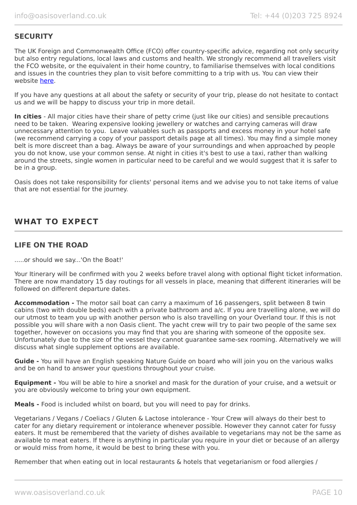## **SECURITY**

The UK Foreign and Commonwealth Office (FCO) offer country-specific advice, regarding not only security but also entry regulations, local laws and customs and health. We strongly recommend all travellers visit the FCO website, or the equivalent in their home country, to familiarise themselves with local conditions and issues in the countries they plan to visit before committing to a trip with us. You can view their website [here.](https://www.gov.uk/foreign-travel-advice)

If you have any questions at all about the safety or security of your trip, please do not hesitate to contact us and we will be happy to discuss your trip in more detail.

**In cities** - All major cities have their share of petty crime (just like our cities) and sensible precautions need to be taken. Wearing expensive looking jewellery or watches and carrying cameras will draw unnecessary attention to you. Leave valuables such as passports and excess money in your hotel safe (we recommend carrying a copy of your passport details page at all times). You may find a simple money belt is more discreet than a bag. Always be aware of your surroundings and when approached by people you do not know, use your common sense. At night in cities it's best to use a taxi, rather than walking around the streets, single women in particular need to be careful and we would suggest that it is safer to be in a group.

Oasis does not take responsibility for clients' personal items and we advise you to not take items of value that are not essential for the journey.

# **WHAT TO EXPECT**

## **LIFE ON THE ROAD**

.....or should we say...'On the Boat!'

Your Itinerary will be confirmed with you 2 weeks before travel along with optional flight ticket information. There are now mandatory 15 day routings for all vessels in place, meaning that different itineraries will be followed on different departure dates.

**Accommodation -** The motor sail boat can carry a maximum of 16 passengers, split between 8 twin cabins (two with double beds) each with a private bathroom and a/c. If you are travelling alone, we will do our utmost to team you up with another person who is also travelling on your Overland tour. If this is not possible you will share with a non Oasis client. The yacht crew will try to pair two people of the same sex together, however on occasions you may find that you are sharing with someone of the opposite sex. Unfortunately due to the size of the vessel they cannot guarantee same-sex rooming. Alternatively we will discuss what single supplement options are available.

**Guide -** You will have an English speaking Nature Guide on board who will join you on the various walks and be on hand to answer your questions throughout your cruise.

**Equipment -** You will be able to hire a snorkel and mask for the duration of your cruise, and a wetsuit or you are obviously welcome to bring your own equipment.

**Meals -** Food is included whilst on board, but you will need to pay for drinks.

Vegetarians / Vegans / Coeliacs / Gluten & Lactose intolerance - Your Crew will always do their best to cater for any dietary requirement or intolerance whenever possible. However they cannot cater for fussy eaters. It must be remembered that the variety of dishes available to vegetarians may not be the same as available to meat eaters. If there is anything in particular you require in your diet or because of an allergy or would miss from home, it would be best to bring these with you.

Remember that when eating out in local restaurants & hotels that vegetarianism or food allergies /